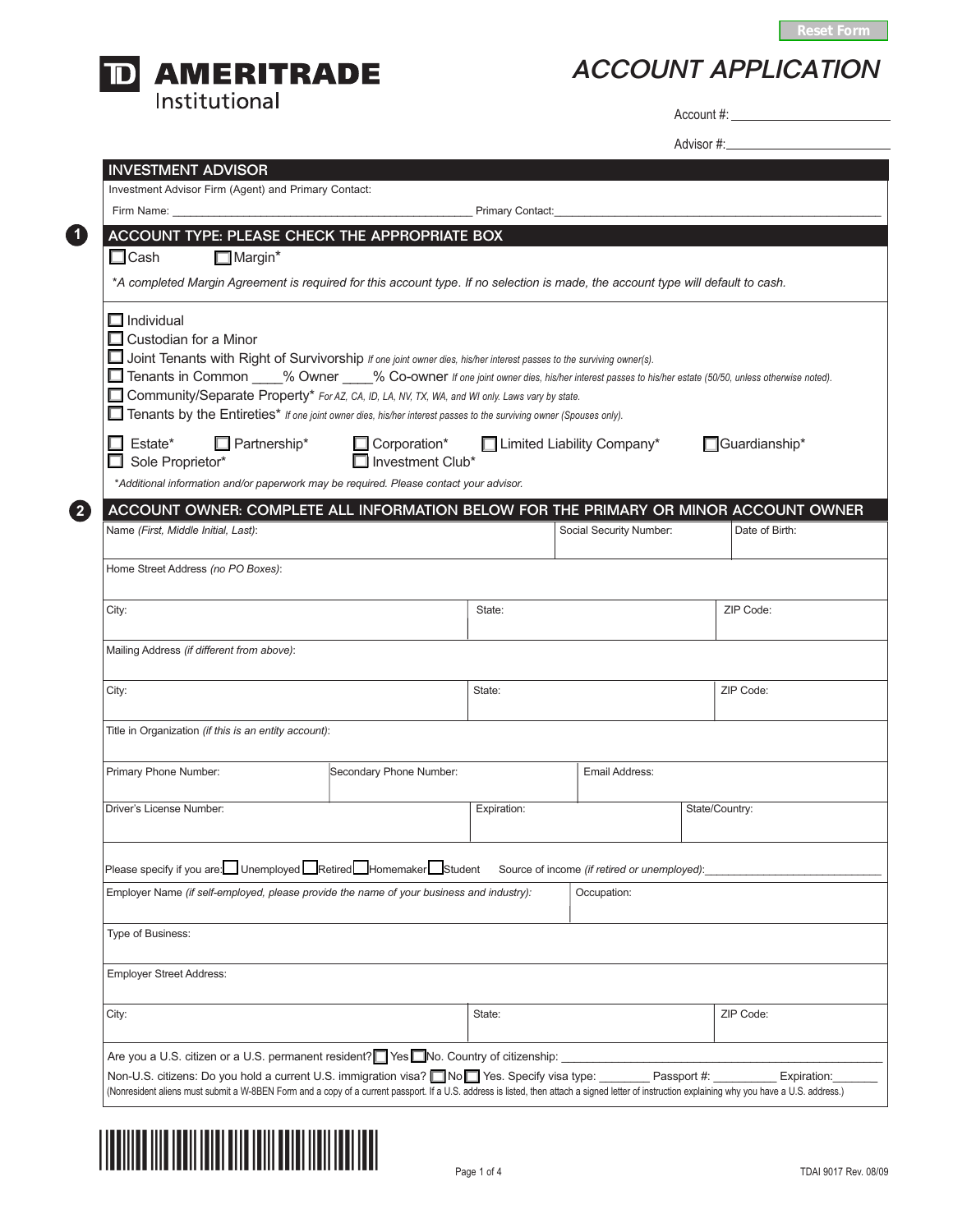**Reset Form** 



ACCOUNT APPLICATION

Account #:

Advisor #:

| <b>INVESTMENT ADVISOR</b><br>Investment Advisor Firm (Agent) and Primary Contact:                                                                                                                                                                                                                                                                                                                                                                                                                                                                    |                     |                                                                        |                                              |                |
|------------------------------------------------------------------------------------------------------------------------------------------------------------------------------------------------------------------------------------------------------------------------------------------------------------------------------------------------------------------------------------------------------------------------------------------------------------------------------------------------------------------------------------------------------|---------------------|------------------------------------------------------------------------|----------------------------------------------|----------------|
|                                                                                                                                                                                                                                                                                                                                                                                                                                                                                                                                                      |                     |                                                                        | <b>Primary Contact:</b>                      |                |
| ACCOUNT TYPE: PLEASE CHECK THE APPROPRIATE BOX                                                                                                                                                                                                                                                                                                                                                                                                                                                                                                       |                     |                                                                        |                                              |                |
| $\square$ Cash<br>$\Box$ Margin*                                                                                                                                                                                                                                                                                                                                                                                                                                                                                                                     |                     |                                                                        |                                              |                |
| *A completed Margin Agreement is required for this account type. If no selection is made, the account type will default to cash.                                                                                                                                                                                                                                                                                                                                                                                                                     |                     |                                                                        |                                              |                |
| $\Box$ Individual<br>$\Box$ Custodian for a Minor<br>Joint Tenants with Right of Survivorship If one joint owner dies, his/her interest passes to the surviving owner(s).<br>Tenants in Common ____% Owner ____% Co-owner If one joint owner dies, his/her interest passes to his/her estate (50/50, unless otherwise noted).<br>Community/Separate Property* For AZ, CA, ID, LA, NV, TX, WA, and WI only. Laws vary by state.<br>Tenants by the Entireties* If one joint owner dies, his/her interest passes to the surviving owner (Spouses only). |                     |                                                                        |                                              |                |
| $\Box$ Estate*<br>Sole Proprietor*<br>*Additional information and/or paperwork may be required. Please contact your advisor.                                                                                                                                                                                                                                                                                                                                                                                                                         | $\Box$ Partnership* | □ Corporation* □ Limited Liability Company*<br>$\Box$ Investment Club* |                                              | Guardianship*  |
| ACCOUNT OWNER: COMPLETE ALL INFORMATION BELOW FOR THE PRIMARY OR MINOR ACCOUNT OWNER                                                                                                                                                                                                                                                                                                                                                                                                                                                                 |                     |                                                                        |                                              |                |
| Name (First, Middle Initial, Last):                                                                                                                                                                                                                                                                                                                                                                                                                                                                                                                  |                     |                                                                        | Social Security Number:                      | Date of Birth: |
| Home Street Address (no PO Boxes):                                                                                                                                                                                                                                                                                                                                                                                                                                                                                                                   |                     |                                                                        |                                              |                |
|                                                                                                                                                                                                                                                                                                                                                                                                                                                                                                                                                      |                     |                                                                        |                                              |                |
| City:                                                                                                                                                                                                                                                                                                                                                                                                                                                                                                                                                |                     | State:                                                                 |                                              | ZIP Code:      |
|                                                                                                                                                                                                                                                                                                                                                                                                                                                                                                                                                      |                     |                                                                        |                                              |                |
| Mailing Address (if different from above):                                                                                                                                                                                                                                                                                                                                                                                                                                                                                                           |                     |                                                                        |                                              |                |
| City:                                                                                                                                                                                                                                                                                                                                                                                                                                                                                                                                                |                     | State:                                                                 |                                              | ZIP Code:      |
|                                                                                                                                                                                                                                                                                                                                                                                                                                                                                                                                                      |                     |                                                                        |                                              |                |
| Title in Organization (if this is an entity account):                                                                                                                                                                                                                                                                                                                                                                                                                                                                                                |                     |                                                                        |                                              |                |
|                                                                                                                                                                                                                                                                                                                                                                                                                                                                                                                                                      |                     |                                                                        |                                              |                |
| Primary Phone Number:                                                                                                                                                                                                                                                                                                                                                                                                                                                                                                                                |                     | Secondary Phone Number:                                                | Email Address:                               |                |
| Driver's License Number:                                                                                                                                                                                                                                                                                                                                                                                                                                                                                                                             |                     | Expiration:                                                            |                                              | State/Country: |
|                                                                                                                                                                                                                                                                                                                                                                                                                                                                                                                                                      |                     |                                                                        |                                              |                |
|                                                                                                                                                                                                                                                                                                                                                                                                                                                                                                                                                      |                     |                                                                        |                                              |                |
| Please specify if you are: Unemployed Retired Homemaker Student                                                                                                                                                                                                                                                                                                                                                                                                                                                                                      |                     |                                                                        | Source of income (if retired or unemployed): |                |
| Employer Name (if self-employed, please provide the name of your business and industry):                                                                                                                                                                                                                                                                                                                                                                                                                                                             |                     |                                                                        | Occupation:                                  |                |
| Type of Business:                                                                                                                                                                                                                                                                                                                                                                                                                                                                                                                                    |                     |                                                                        |                                              |                |
|                                                                                                                                                                                                                                                                                                                                                                                                                                                                                                                                                      |                     |                                                                        |                                              |                |
| <b>Employer Street Address:</b>                                                                                                                                                                                                                                                                                                                                                                                                                                                                                                                      |                     |                                                                        |                                              |                |
|                                                                                                                                                                                                                                                                                                                                                                                                                                                                                                                                                      |                     |                                                                        |                                              |                |
| City:                                                                                                                                                                                                                                                                                                                                                                                                                                                                                                                                                |                     | State:                                                                 |                                              | ZIP Code:      |
|                                                                                                                                                                                                                                                                                                                                                                                                                                                                                                                                                      |                     |                                                                        |                                              |                |
| Are you a U.S. citizen or a U.S. permanent resident? Ves No. Country of citizenship:<br>Non-U.S. citizens: Do you hold a current U.S. immigration visa? No F Yes. Specify visa type: Passport #:                                                                                                                                                                                                                                                                                                                                                     |                     |                                                                        |                                              | Expiration:    |
| (Nonresident aliens must submit a W-8BEN Form and a copy of a current passport. If a U.S. address is listed, then attach a signed letter of instruction explaining why you have a U.S. address.)                                                                                                                                                                                                                                                                                                                                                     |                     |                                                                        |                                              |                |

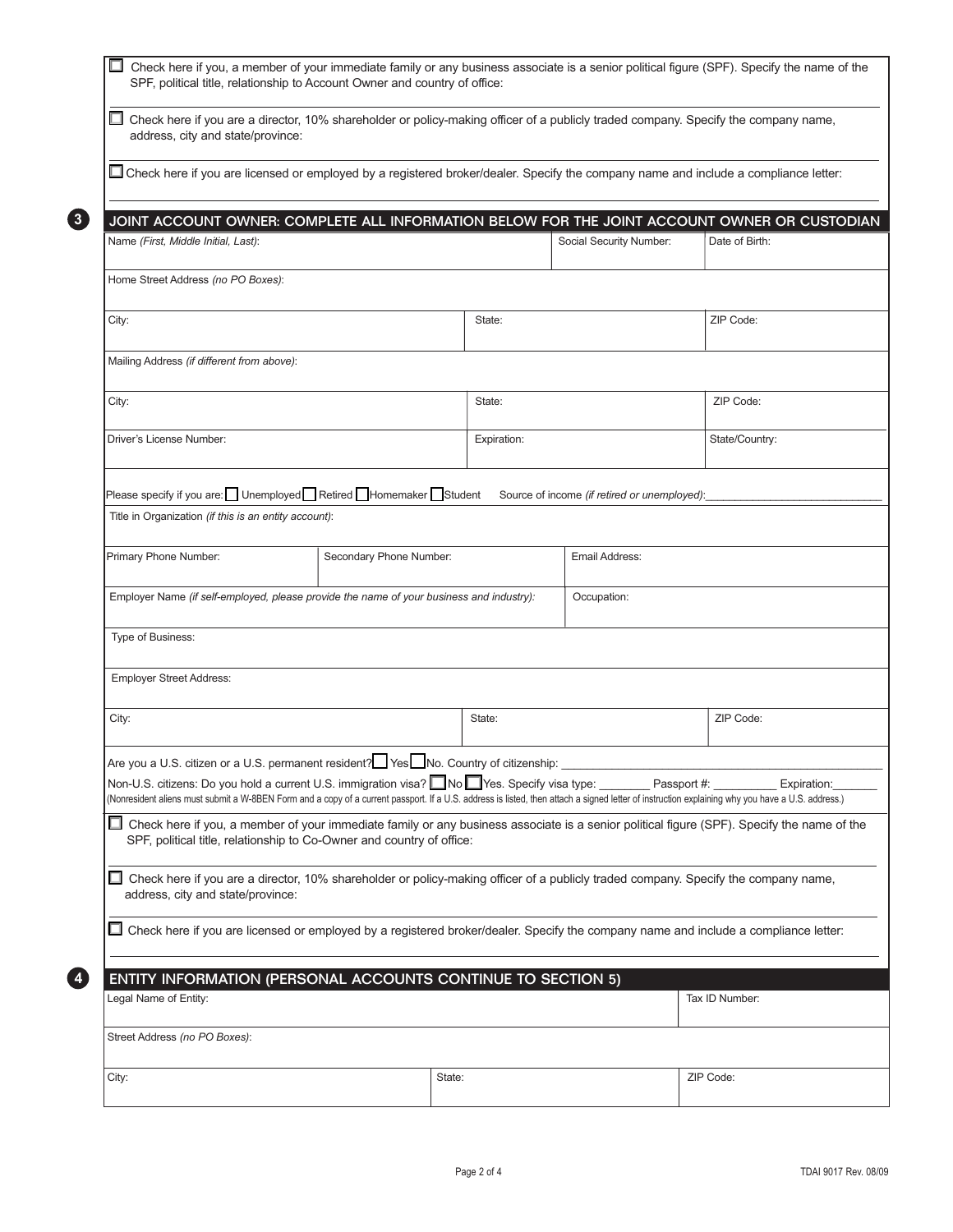| ப<br>Check here if you are a director, 10% shareholder or policy-making officer of a publicly traded company. Specify the company name,<br>address, city and state/province:<br>$\Box$ Check here if you are licensed or employed by a registered broker/dealer. Specify the company name and include a compliance letter:<br>JOINT ACCOUNT OWNER: COMPLETE ALL INFORMATION BELOW FOR THE JOINT ACCOUNT OWNER OR CUSTODIAN<br>Name (First, Middle Initial, Last):<br>Social Security Number:<br>Date of Birth:<br>Home Street Address (no PO Boxes):<br>ZIP Code:<br>City:<br>State:<br>Mailing Address (if different from above):<br>ZIP Code:<br>City:<br>State:<br>State/Country:<br>Driver's License Number:<br>Expiration:<br>Please specify if you are: Unemployed Retired Homemaker Student<br>Source of income (if retired or unemployed):<br>Title in Organization (if this is an entity account):<br>Primary Phone Number:<br>Secondary Phone Number:<br>Email Address:<br>Employer Name (if self-employed, please provide the name of your business and industry):<br>Occupation:<br>Type of Business:<br><b>Employer Street Address:</b><br>ZIP Code:<br>State:<br>City:<br>Are you a U.S. citizen or a U.S. permanent resident? Ses No. Country of citizenship:<br>Non-U.S. citizens: Do you hold a current U.S. immigration visa? No Yes. Specify visa type:<br>Passport #:<br>Expiration:<br>(Nonresident aliens must submit a W-8BEN Form and a copy of a current passport. If a U.S. address is listed, then attach a signed letter of instruction explaining why you have a U.S. address.)<br>□ Check here if you, a member of your immediate family or any business associate is a senior political figure (SPF). Specify the name of the<br>SPF, political title, relationship to Co-Owner and country of office:<br>Check here if you are a director, 10% shareholder or policy-making officer of a publicly traded company. Specify the company name,<br>address, city and state/province:<br>□ Check here if you are licensed or employed by a registered broker/dealer. Specify the company name and include a compliance letter:<br>ENTITY INFORMATION (PERSONAL ACCOUNTS CONTINUE TO SECTION 5)<br>Tax ID Number:<br>ZIP Code:<br>City:<br>State: | Check here if you, a member of your immediate family or any business associate is a senior political figure (SPF). Specify the name of the<br>SPF, political title, relationship to Account Owner and country of office: |  |  |  |
|-----------------------------------------------------------------------------------------------------------------------------------------------------------------------------------------------------------------------------------------------------------------------------------------------------------------------------------------------------------------------------------------------------------------------------------------------------------------------------------------------------------------------------------------------------------------------------------------------------------------------------------------------------------------------------------------------------------------------------------------------------------------------------------------------------------------------------------------------------------------------------------------------------------------------------------------------------------------------------------------------------------------------------------------------------------------------------------------------------------------------------------------------------------------------------------------------------------------------------------------------------------------------------------------------------------------------------------------------------------------------------------------------------------------------------------------------------------------------------------------------------------------------------------------------------------------------------------------------------------------------------------------------------------------------------------------------------------------------------------------------------------------------------------------------------------------------------------------------------------------------------------------------------------------------------------------------------------------------------------------------------------------------------------------------------------------------------------------------------------------------------------------------------------------------------------------------------------------------------------------------------------------------------|--------------------------------------------------------------------------------------------------------------------------------------------------------------------------------------------------------------------------|--|--|--|
|                                                                                                                                                                                                                                                                                                                                                                                                                                                                                                                                                                                                                                                                                                                                                                                                                                                                                                                                                                                                                                                                                                                                                                                                                                                                                                                                                                                                                                                                                                                                                                                                                                                                                                                                                                                                                                                                                                                                                                                                                                                                                                                                                                                                                                                                             |                                                                                                                                                                                                                          |  |  |  |
|                                                                                                                                                                                                                                                                                                                                                                                                                                                                                                                                                                                                                                                                                                                                                                                                                                                                                                                                                                                                                                                                                                                                                                                                                                                                                                                                                                                                                                                                                                                                                                                                                                                                                                                                                                                                                                                                                                                                                                                                                                                                                                                                                                                                                                                                             |                                                                                                                                                                                                                          |  |  |  |
|                                                                                                                                                                                                                                                                                                                                                                                                                                                                                                                                                                                                                                                                                                                                                                                                                                                                                                                                                                                                                                                                                                                                                                                                                                                                                                                                                                                                                                                                                                                                                                                                                                                                                                                                                                                                                                                                                                                                                                                                                                                                                                                                                                                                                                                                             |                                                                                                                                                                                                                          |  |  |  |
|                                                                                                                                                                                                                                                                                                                                                                                                                                                                                                                                                                                                                                                                                                                                                                                                                                                                                                                                                                                                                                                                                                                                                                                                                                                                                                                                                                                                                                                                                                                                                                                                                                                                                                                                                                                                                                                                                                                                                                                                                                                                                                                                                                                                                                                                             |                                                                                                                                                                                                                          |  |  |  |
|                                                                                                                                                                                                                                                                                                                                                                                                                                                                                                                                                                                                                                                                                                                                                                                                                                                                                                                                                                                                                                                                                                                                                                                                                                                                                                                                                                                                                                                                                                                                                                                                                                                                                                                                                                                                                                                                                                                                                                                                                                                                                                                                                                                                                                                                             |                                                                                                                                                                                                                          |  |  |  |
|                                                                                                                                                                                                                                                                                                                                                                                                                                                                                                                                                                                                                                                                                                                                                                                                                                                                                                                                                                                                                                                                                                                                                                                                                                                                                                                                                                                                                                                                                                                                                                                                                                                                                                                                                                                                                                                                                                                                                                                                                                                                                                                                                                                                                                                                             |                                                                                                                                                                                                                          |  |  |  |
|                                                                                                                                                                                                                                                                                                                                                                                                                                                                                                                                                                                                                                                                                                                                                                                                                                                                                                                                                                                                                                                                                                                                                                                                                                                                                                                                                                                                                                                                                                                                                                                                                                                                                                                                                                                                                                                                                                                                                                                                                                                                                                                                                                                                                                                                             |                                                                                                                                                                                                                          |  |  |  |
|                                                                                                                                                                                                                                                                                                                                                                                                                                                                                                                                                                                                                                                                                                                                                                                                                                                                                                                                                                                                                                                                                                                                                                                                                                                                                                                                                                                                                                                                                                                                                                                                                                                                                                                                                                                                                                                                                                                                                                                                                                                                                                                                                                                                                                                                             |                                                                                                                                                                                                                          |  |  |  |
|                                                                                                                                                                                                                                                                                                                                                                                                                                                                                                                                                                                                                                                                                                                                                                                                                                                                                                                                                                                                                                                                                                                                                                                                                                                                                                                                                                                                                                                                                                                                                                                                                                                                                                                                                                                                                                                                                                                                                                                                                                                                                                                                                                                                                                                                             |                                                                                                                                                                                                                          |  |  |  |
|                                                                                                                                                                                                                                                                                                                                                                                                                                                                                                                                                                                                                                                                                                                                                                                                                                                                                                                                                                                                                                                                                                                                                                                                                                                                                                                                                                                                                                                                                                                                                                                                                                                                                                                                                                                                                                                                                                                                                                                                                                                                                                                                                                                                                                                                             |                                                                                                                                                                                                                          |  |  |  |
|                                                                                                                                                                                                                                                                                                                                                                                                                                                                                                                                                                                                                                                                                                                                                                                                                                                                                                                                                                                                                                                                                                                                                                                                                                                                                                                                                                                                                                                                                                                                                                                                                                                                                                                                                                                                                                                                                                                                                                                                                                                                                                                                                                                                                                                                             |                                                                                                                                                                                                                          |  |  |  |
|                                                                                                                                                                                                                                                                                                                                                                                                                                                                                                                                                                                                                                                                                                                                                                                                                                                                                                                                                                                                                                                                                                                                                                                                                                                                                                                                                                                                                                                                                                                                                                                                                                                                                                                                                                                                                                                                                                                                                                                                                                                                                                                                                                                                                                                                             |                                                                                                                                                                                                                          |  |  |  |
|                                                                                                                                                                                                                                                                                                                                                                                                                                                                                                                                                                                                                                                                                                                                                                                                                                                                                                                                                                                                                                                                                                                                                                                                                                                                                                                                                                                                                                                                                                                                                                                                                                                                                                                                                                                                                                                                                                                                                                                                                                                                                                                                                                                                                                                                             |                                                                                                                                                                                                                          |  |  |  |
|                                                                                                                                                                                                                                                                                                                                                                                                                                                                                                                                                                                                                                                                                                                                                                                                                                                                                                                                                                                                                                                                                                                                                                                                                                                                                                                                                                                                                                                                                                                                                                                                                                                                                                                                                                                                                                                                                                                                                                                                                                                                                                                                                                                                                                                                             |                                                                                                                                                                                                                          |  |  |  |
|                                                                                                                                                                                                                                                                                                                                                                                                                                                                                                                                                                                                                                                                                                                                                                                                                                                                                                                                                                                                                                                                                                                                                                                                                                                                                                                                                                                                                                                                                                                                                                                                                                                                                                                                                                                                                                                                                                                                                                                                                                                                                                                                                                                                                                                                             |                                                                                                                                                                                                                          |  |  |  |
|                                                                                                                                                                                                                                                                                                                                                                                                                                                                                                                                                                                                                                                                                                                                                                                                                                                                                                                                                                                                                                                                                                                                                                                                                                                                                                                                                                                                                                                                                                                                                                                                                                                                                                                                                                                                                                                                                                                                                                                                                                                                                                                                                                                                                                                                             |                                                                                                                                                                                                                          |  |  |  |
|                                                                                                                                                                                                                                                                                                                                                                                                                                                                                                                                                                                                                                                                                                                                                                                                                                                                                                                                                                                                                                                                                                                                                                                                                                                                                                                                                                                                                                                                                                                                                                                                                                                                                                                                                                                                                                                                                                                                                                                                                                                                                                                                                                                                                                                                             |                                                                                                                                                                                                                          |  |  |  |
|                                                                                                                                                                                                                                                                                                                                                                                                                                                                                                                                                                                                                                                                                                                                                                                                                                                                                                                                                                                                                                                                                                                                                                                                                                                                                                                                                                                                                                                                                                                                                                                                                                                                                                                                                                                                                                                                                                                                                                                                                                                                                                                                                                                                                                                                             |                                                                                                                                                                                                                          |  |  |  |
|                                                                                                                                                                                                                                                                                                                                                                                                                                                                                                                                                                                                                                                                                                                                                                                                                                                                                                                                                                                                                                                                                                                                                                                                                                                                                                                                                                                                                                                                                                                                                                                                                                                                                                                                                                                                                                                                                                                                                                                                                                                                                                                                                                                                                                                                             |                                                                                                                                                                                                                          |  |  |  |
|                                                                                                                                                                                                                                                                                                                                                                                                                                                                                                                                                                                                                                                                                                                                                                                                                                                                                                                                                                                                                                                                                                                                                                                                                                                                                                                                                                                                                                                                                                                                                                                                                                                                                                                                                                                                                                                                                                                                                                                                                                                                                                                                                                                                                                                                             |                                                                                                                                                                                                                          |  |  |  |
|                                                                                                                                                                                                                                                                                                                                                                                                                                                                                                                                                                                                                                                                                                                                                                                                                                                                                                                                                                                                                                                                                                                                                                                                                                                                                                                                                                                                                                                                                                                                                                                                                                                                                                                                                                                                                                                                                                                                                                                                                                                                                                                                                                                                                                                                             |                                                                                                                                                                                                                          |  |  |  |
|                                                                                                                                                                                                                                                                                                                                                                                                                                                                                                                                                                                                                                                                                                                                                                                                                                                                                                                                                                                                                                                                                                                                                                                                                                                                                                                                                                                                                                                                                                                                                                                                                                                                                                                                                                                                                                                                                                                                                                                                                                                                                                                                                                                                                                                                             |                                                                                                                                                                                                                          |  |  |  |
|                                                                                                                                                                                                                                                                                                                                                                                                                                                                                                                                                                                                                                                                                                                                                                                                                                                                                                                                                                                                                                                                                                                                                                                                                                                                                                                                                                                                                                                                                                                                                                                                                                                                                                                                                                                                                                                                                                                                                                                                                                                                                                                                                                                                                                                                             | Legal Name of Entity:                                                                                                                                                                                                    |  |  |  |
|                                                                                                                                                                                                                                                                                                                                                                                                                                                                                                                                                                                                                                                                                                                                                                                                                                                                                                                                                                                                                                                                                                                                                                                                                                                                                                                                                                                                                                                                                                                                                                                                                                                                                                                                                                                                                                                                                                                                                                                                                                                                                                                                                                                                                                                                             | Street Address (no PO Boxes):                                                                                                                                                                                            |  |  |  |
|                                                                                                                                                                                                                                                                                                                                                                                                                                                                                                                                                                                                                                                                                                                                                                                                                                                                                                                                                                                                                                                                                                                                                                                                                                                                                                                                                                                                                                                                                                                                                                                                                                                                                                                                                                                                                                                                                                                                                                                                                                                                                                                                                                                                                                                                             |                                                                                                                                                                                                                          |  |  |  |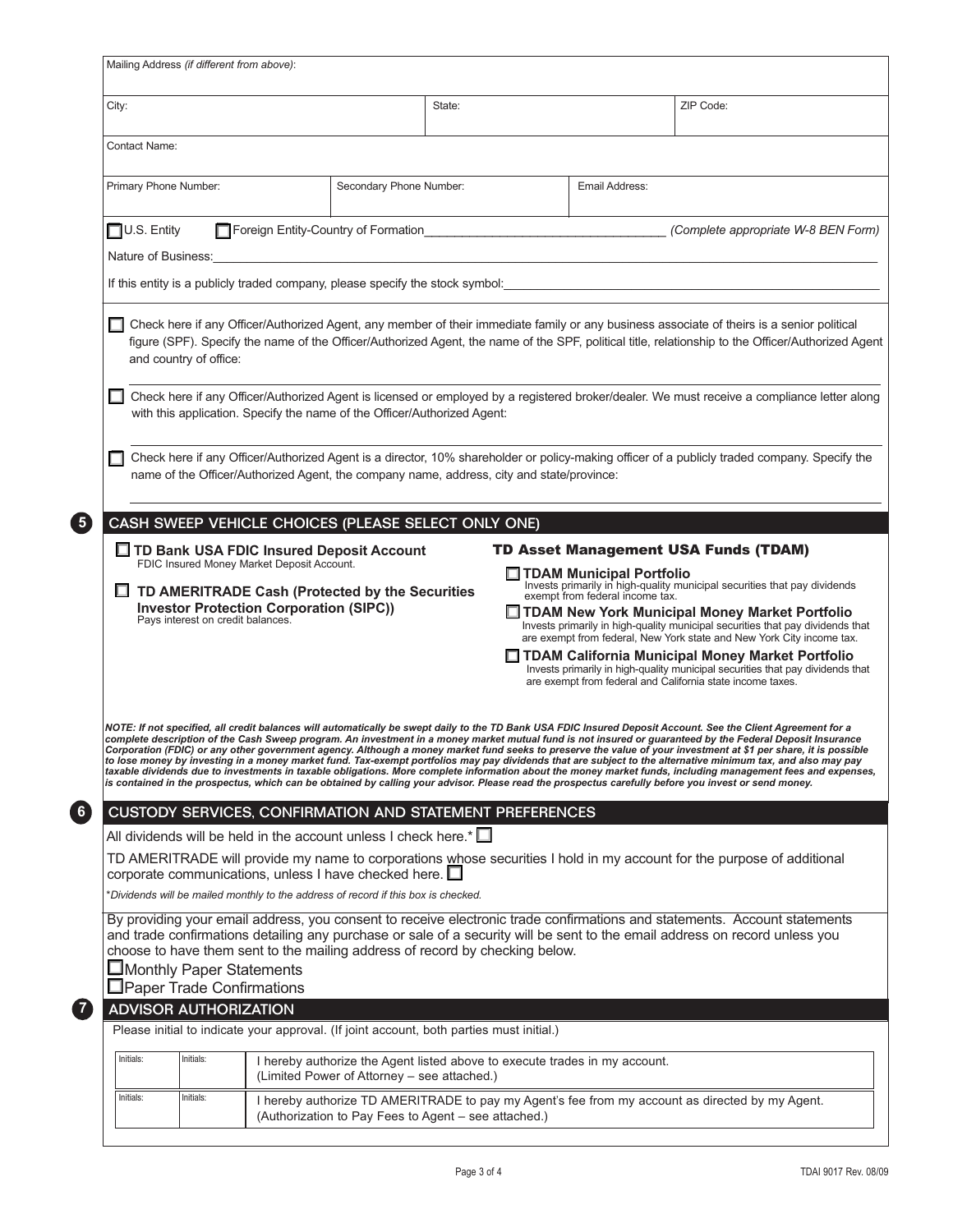|                       | Mailing Address (if different from above): |                                                                                                                                                                                                      |                                             |                                                                                                                                                      |                                                                      |                                                                                                                                                                                                                                                                                                                                                                                                                                                                                                                                                                                                                                                                                                                                                                                                                                  |
|-----------------------|--------------------------------------------|------------------------------------------------------------------------------------------------------------------------------------------------------------------------------------------------------|---------------------------------------------|------------------------------------------------------------------------------------------------------------------------------------------------------|----------------------------------------------------------------------|----------------------------------------------------------------------------------------------------------------------------------------------------------------------------------------------------------------------------------------------------------------------------------------------------------------------------------------------------------------------------------------------------------------------------------------------------------------------------------------------------------------------------------------------------------------------------------------------------------------------------------------------------------------------------------------------------------------------------------------------------------------------------------------------------------------------------------|
| City:                 |                                            |                                                                                                                                                                                                      |                                             | State:                                                                                                                                               |                                                                      | ZIP Code:                                                                                                                                                                                                                                                                                                                                                                                                                                                                                                                                                                                                                                                                                                                                                                                                                        |
| <b>Contact Name:</b>  |                                            |                                                                                                                                                                                                      |                                             |                                                                                                                                                      |                                                                      |                                                                                                                                                                                                                                                                                                                                                                                                                                                                                                                                                                                                                                                                                                                                                                                                                                  |
| Primary Phone Number: |                                            |                                                                                                                                                                                                      | Secondary Phone Number:                     |                                                                                                                                                      | Email Address:                                                       |                                                                                                                                                                                                                                                                                                                                                                                                                                                                                                                                                                                                                                                                                                                                                                                                                                  |
| $\Box$ U.S. Entity    |                                            |                                                                                                                                                                                                      |                                             |                                                                                                                                                      |                                                                      | (Complete appropriate W-8 BEN Form)                                                                                                                                                                                                                                                                                                                                                                                                                                                                                                                                                                                                                                                                                                                                                                                              |
| Nature of Business:   |                                            |                                                                                                                                                                                                      |                                             |                                                                                                                                                      |                                                                      |                                                                                                                                                                                                                                                                                                                                                                                                                                                                                                                                                                                                                                                                                                                                                                                                                                  |
|                       |                                            |                                                                                                                                                                                                      |                                             |                                                                                                                                                      |                                                                      | If this entity is a publicly traded company, please specify the stock symbol:                                                                                                                                                                                                                                                                                                                                                                                                                                                                                                                                                                                                                                                                                                                                                    |
|                       | and country of office:                     |                                                                                                                                                                                                      |                                             |                                                                                                                                                      |                                                                      | Check here if any Officer/Authorized Agent, any member of their immediate family or any business associate of theirs is a senior political<br>figure (SPF). Specify the name of the Officer/Authorized Agent, the name of the SPF, political title, relationship to the Officer/Authorized Agent                                                                                                                                                                                                                                                                                                                                                                                                                                                                                                                                 |
|                       |                                            |                                                                                                                                                                                                      |                                             | with this application. Specify the name of the Officer/Authorized Agent:                                                                             |                                                                      | Check here if any Officer/Authorized Agent is licensed or employed by a registered broker/dealer. We must receive a compliance letter along                                                                                                                                                                                                                                                                                                                                                                                                                                                                                                                                                                                                                                                                                      |
|                       |                                            |                                                                                                                                                                                                      |                                             | name of the Officer/Authorized Agent, the company name, address, city and state/province:                                                            |                                                                      | Check here if any Officer/Authorized Agent is a director, 10% shareholder or policy-making officer of a publicly traded company. Specify the                                                                                                                                                                                                                                                                                                                                                                                                                                                                                                                                                                                                                                                                                     |
|                       |                                            |                                                                                                                                                                                                      |                                             |                                                                                                                                                      |                                                                      |                                                                                                                                                                                                                                                                                                                                                                                                                                                                                                                                                                                                                                                                                                                                                                                                                                  |
|                       |                                            |                                                                                                                                                                                                      |                                             |                                                                                                                                                      |                                                                      |                                                                                                                                                                                                                                                                                                                                                                                                                                                                                                                                                                                                                                                                                                                                                                                                                                  |
|                       | Pays interest on credit balances.          | □ TD Bank USA FDIC Insured Deposit Account<br>FDIC Insured Money Market Deposit Account.<br>$\Box$ TD AMERITRADE Cash (Protected by the Securities<br><b>Investor Protection Corporation (SIPC))</b> |                                             | CASH SWEEP VEHICLE CHOICES (PLEASE SELECT ONLY ONE)                                                                                                  | <b>□ TDAM Municipal Portfolio</b><br>exempt from federal income tax. | TD Asset Management USA Funds (TDAM)<br>Invests primarily in high-quality municipal securities that pay dividends<br>TDAM New York Municipal Money Market Portfolio                                                                                                                                                                                                                                                                                                                                                                                                                                                                                                                                                                                                                                                              |
|                       |                                            |                                                                                                                                                                                                      |                                             |                                                                                                                                                      |                                                                      | □ TDAM California Municipal Money Market Portfolio<br>are exempt from federal and California state income taxes.<br>NOTE: If not specified, all credit balances will automatically be swept daily to the TD Bank USA FDIC Insured Deposit Account. See the Client Agreement for a                                                                                                                                                                                                                                                                                                                                                                                                                                                                                                                                                |
|                       |                                            |                                                                                                                                                                                                      |                                             | is contained in the prospectus, which can be obtained by calling your advisor. Please read the prospectus carefully before you invest or send money. |                                                                      | are exempt from federal, New York state and New York City income tax.                                                                                                                                                                                                                                                                                                                                                                                                                                                                                                                                                                                                                                                                                                                                                            |
|                       |                                            |                                                                                                                                                                                                      |                                             | <b>CUSTODY SERVICES, CONFIRMATION AND STATEMENT PREFERENCES</b>                                                                                      |                                                                      |                                                                                                                                                                                                                                                                                                                                                                                                                                                                                                                                                                                                                                                                                                                                                                                                                                  |
|                       |                                            | All dividends will be held in the account unless I check here. $* \Box$                                                                                                                              |                                             |                                                                                                                                                      |                                                                      |                                                                                                                                                                                                                                                                                                                                                                                                                                                                                                                                                                                                                                                                                                                                                                                                                                  |
|                       |                                            | corporate communications, unless I have checked here. $\Box$                                                                                                                                         |                                             |                                                                                                                                                      |                                                                      | TD AMERITRADE will provide my name to corporations whose securities I hold in my account for the purpose of additional                                                                                                                                                                                                                                                                                                                                                                                                                                                                                                                                                                                                                                                                                                           |
|                       |                                            | *Dividends will be mailed monthly to the address of record if this box is checked.                                                                                                                   |                                             |                                                                                                                                                      |                                                                      |                                                                                                                                                                                                                                                                                                                                                                                                                                                                                                                                                                                                                                                                                                                                                                                                                                  |
|                       |                                            |                                                                                                                                                                                                      |                                             | choose to have them sent to the mailing address of record by checking below.                                                                         |                                                                      | By providing your email address, you consent to receive electronic trade confirmations and statements. Account statements<br>and trade confirmations detailing any purchase or sale of a security will be sent to the email address on record unless you                                                                                                                                                                                                                                                                                                                                                                                                                                                                                                                                                                         |
|                       | □Monthly Paper Statements                  |                                                                                                                                                                                                      |                                             |                                                                                                                                                      |                                                                      |                                                                                                                                                                                                                                                                                                                                                                                                                                                                                                                                                                                                                                                                                                                                                                                                                                  |
|                       | $\Box$ Paper Trade Confirmations           |                                                                                                                                                                                                      |                                             |                                                                                                                                                      |                                                                      | Invests primarily in high-quality municipal securities that pay dividends that<br>Invests primarily in high-quality municipal securities that pay dividends that<br>complete description of the Cash Sweep program. An investment in a money market mutual fund is not insured or guaranteed by the Federal Deposit Insurance<br>Corporation (FDIC) or any other government agency. Although a money market fund seeks to preserve the value of your investment at \$1 per share, it is possible<br>to lose money by investing in a money market fund. Tax-exempt portfolios may pay dividends that are subject to the alternative minimum tax, and also may pay<br>taxable dividends due to investments in taxable obligations. More complete information about the money market funds, including management fees and expenses, |
|                       | <b>ADVISOR AUTHORIZATION</b>               |                                                                                                                                                                                                      |                                             | Please initial to indicate your approval. (If joint account, both parties must initial.)                                                             |                                                                      |                                                                                                                                                                                                                                                                                                                                                                                                                                                                                                                                                                                                                                                                                                                                                                                                                                  |
| Initials:             | Initials:                                  |                                                                                                                                                                                                      | (Limited Power of Attorney - see attached.) | I hereby authorize the Agent listed above to execute trades in my account.                                                                           |                                                                      |                                                                                                                                                                                                                                                                                                                                                                                                                                                                                                                                                                                                                                                                                                                                                                                                                                  |